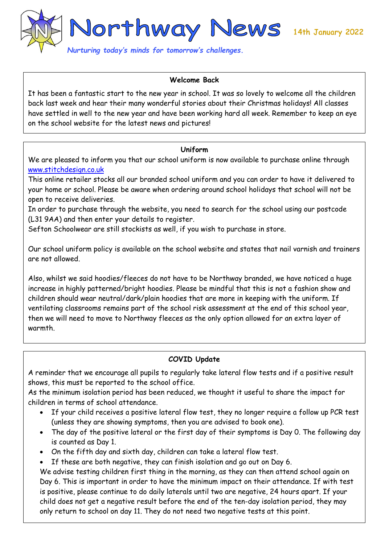

### **Welcome Back**

It has been a fantastic start to the new year in school. It was so lovely to welcome all the children back last week and hear their many wonderful stories about their Christmas holidays! All classes have settled in well to the new year and have been working hard all week. Remember to keep an eye on the school website for the latest news and pictures!

#### **Uniform**

We are pleased to inform you that our school uniform is now available to purchase online through [www.stitchdesign.co.uk](http://www.stitchdesign.co.uk/)

This online retailer stocks all our branded school uniform and you can order to have it delivered to your home or school. Please be aware when ordering around school holidays that school will not be open to receive deliveries.

In order to purchase through the website, you need to search for the school using our postcode (L31 9AA) and then enter your details to register.

Sefton Schoolwear are still stockists as well, if you wish to purchase in store.

Our school uniform policy is available on the school website and states that nail varnish and trainers are not allowed.

Also, whilst we said hoodies/fleeces do not have to be Northway branded, we have noticed a huge increase in highly patterned/bright hoodies. Please be mindful that this is not a fashion show and children should wear neutral/dark/plain hoodies that are more in keeping with the uniform. If ventilating classrooms remains part of the school risk assessment at the end of this school year, then we will need to move to Northway fleeces as the only option allowed for an extra layer of warmth.

## **COVID Update**

A reminder that we encourage all pupils to regularly take lateral flow tests and if a positive result shows, this must be reported to the school office.

As the minimum isolation period has been reduced, we thought it useful to share the impact for children in terms of school attendance.

- If your child receives a positive lateral flow test, they no longer require a follow up PCR test (unless they are showing symptoms, then you are advised to book one).
- The day of the positive lateral or the first day of their symptoms is Day 0. The following day is counted as Day 1.
- On the fifth day and sixth day, children can take a lateral flow test.

If these are both negative, they can finish isolation and go out on Day 6.

We advise testing children first thing in the morning, as they can then attend school again on Day 6. This is important in order to have the minimum impact on their attendance. If with test is positive, please continue to do daily laterals until two are negative, 24 hours apart. If your child does not get a negative result before the end of the ten-day isolation period, they may only return to school on day 11. They do not need two negative tests at this point.